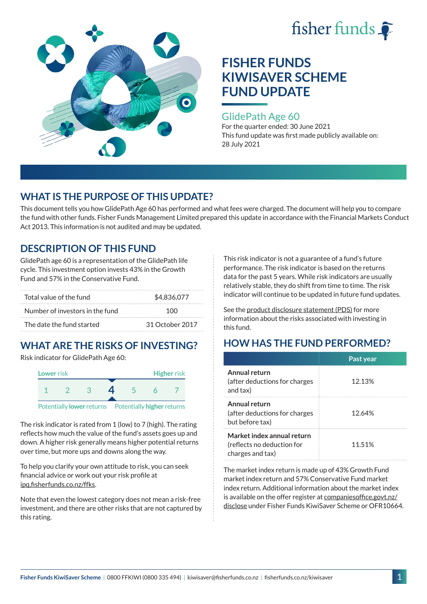



### GlidePath Age 60

For the quarter ended: 30 June 2021 This fund update was first made publicly available on: 28 July 2021

### **WHAT IS THE PURPOSE OF THIS UPDATE?**

This document tells you how GlidePath Age 60 has performed and what fees were charged. The document will help you to compare the fund with other funds. Fisher Funds Management Limited prepared this update in accordance with the Financial Markets Conduct Act 2013. This information is not audited and may be updated.

### **DESCRIPTION OF THIS FUND**

GlidePath age 60 is a representation of the GlidePath life cycle. This investment option invests 43% in the Growth Fund and 57% in the Conservative Fund.

| Total value of the fund         | \$4,836,077     |  |
|---------------------------------|-----------------|--|
| Number of investors in the fund | 100             |  |
| The date the fund started       | 31 October 2017 |  |

# **WHAT ARE THE RISKS OF INVESTING?**

Risk indicator for GlidePath Age 60:



The risk indicator is rated from 1 (low) to 7 (high). The rating

reflects how much the value of the fund's assets goes up and down. A higher risk generally means higher potential returns over time, but more ups and downs along the way.

To help you clarify your own attitude to risk, you can seek financial advice or work out your risk profile at [ipq.fisherfunds.co.nz/ffks](https://ipq.fisherfunds.co.nz/ffks).

Note that even the lowest category does not mean a risk-free investment, and there are other risks that are not captured by this rating.

This risk indicator is not a guarantee of a fund's future performance. The risk indicator is based on the returns data for the past 5 years. While risk indicators are usually relatively stable, they do shift from time to time. The risk indicator will continue to be updated in future fund updates.

See the [product disclosure statement \(PDS\)](https://fisherfunds.co.nz/assets/PDS/Fisher-Funds-KiwiSaver-Scheme-PDS.pdf) for more information about the risks associated with investing in this fund.

## **HOW HAS THE FUND PERFORMED?**

|                                                                              | Past year |
|------------------------------------------------------------------------------|-----------|
| Annual return<br>(after deductions for charges<br>and tax)                   | 12.13%    |
| Annual return<br>(after deductions for charges<br>but before tax)            | 12.64%    |
| Market index annual return<br>(reflects no deduction for<br>charges and tax) | 11.51%    |

The market index return is made up of 43% Growth Fund market index return and 57% Conservative Fund market index return. Additional information about the market index is available on the offer register at [companiesoffice.govt.nz/](http://companiesoffice.govt.nz/disclose) [disclose](http://companiesoffice.govt.nz/disclose) under Fisher Funds KiwiSaver Scheme or OFR10664.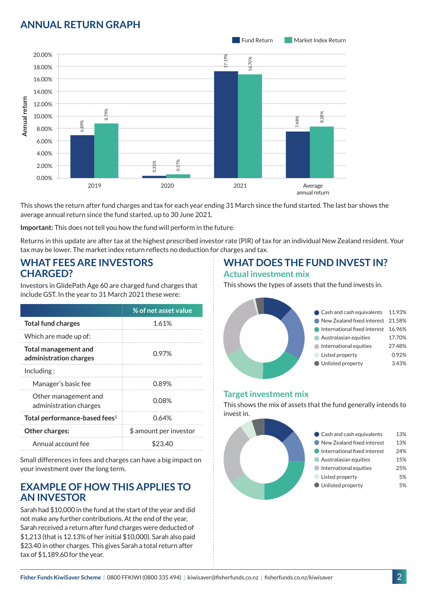## **ANNUAL RETURN GRAPH**



This shows the return after fund charges and tax for each year ending 31 March since the fund started. The last bar shows the average annual return since the fund started, up to 30 June 2021.

**Important:** This does not tell you how the fund will perform in the future.

Returns in this update are after tax at the highest prescribed investor rate (PIR) of tax for an individual New Zealand resident. Your tax may be lower. The market index return reflects no deduction for charges and tax.

#### **WHAT FEES ARE INVESTORS CHARGED?**

Investors in GlidePath Age 60 are charged fund charges that include GST. In the year to 31 March 2021 these were:

|                                                       | % of net asset value   |  |
|-------------------------------------------------------|------------------------|--|
| <b>Total fund charges</b>                             | 1.61%                  |  |
| Which are made up of:                                 |                        |  |
| <b>Total management and</b><br>administration charges | 0.97%                  |  |
| Inding:                                               |                        |  |
| Manager's basic fee                                   | 0.89%                  |  |
| Other management and<br>administration charges        | 0.08%                  |  |
| Total performance-based fees <sup>1</sup>             | 0.64%                  |  |
| Other charges:                                        | \$ amount per investor |  |
| Annual account fee                                    | \$23.40                |  |

Small differences in fees and charges can have a big impact on your investment over the long term.

#### **EXAMPLE OF HOW THIS APPLIES TO AN INVESTOR**

Sarah had \$10,000 in the fund at the start of the year and did not make any further contributions. At the end of the year, Sarah received a return after fund charges were deducted of \$1,213 (that is 12.13% of her initial \$10,000). Sarah also paid \$23.40 in other charges. This gives Sarah a total return after tax of \$1,189.60 for the year.

#### **WHAT DOES THE FUND INVEST IN? Actual investment mix**

This shows the types of assets that the fund invests in.



#### **Target investment mix**

This shows the mix of assets that the fund generally intends to invest in.